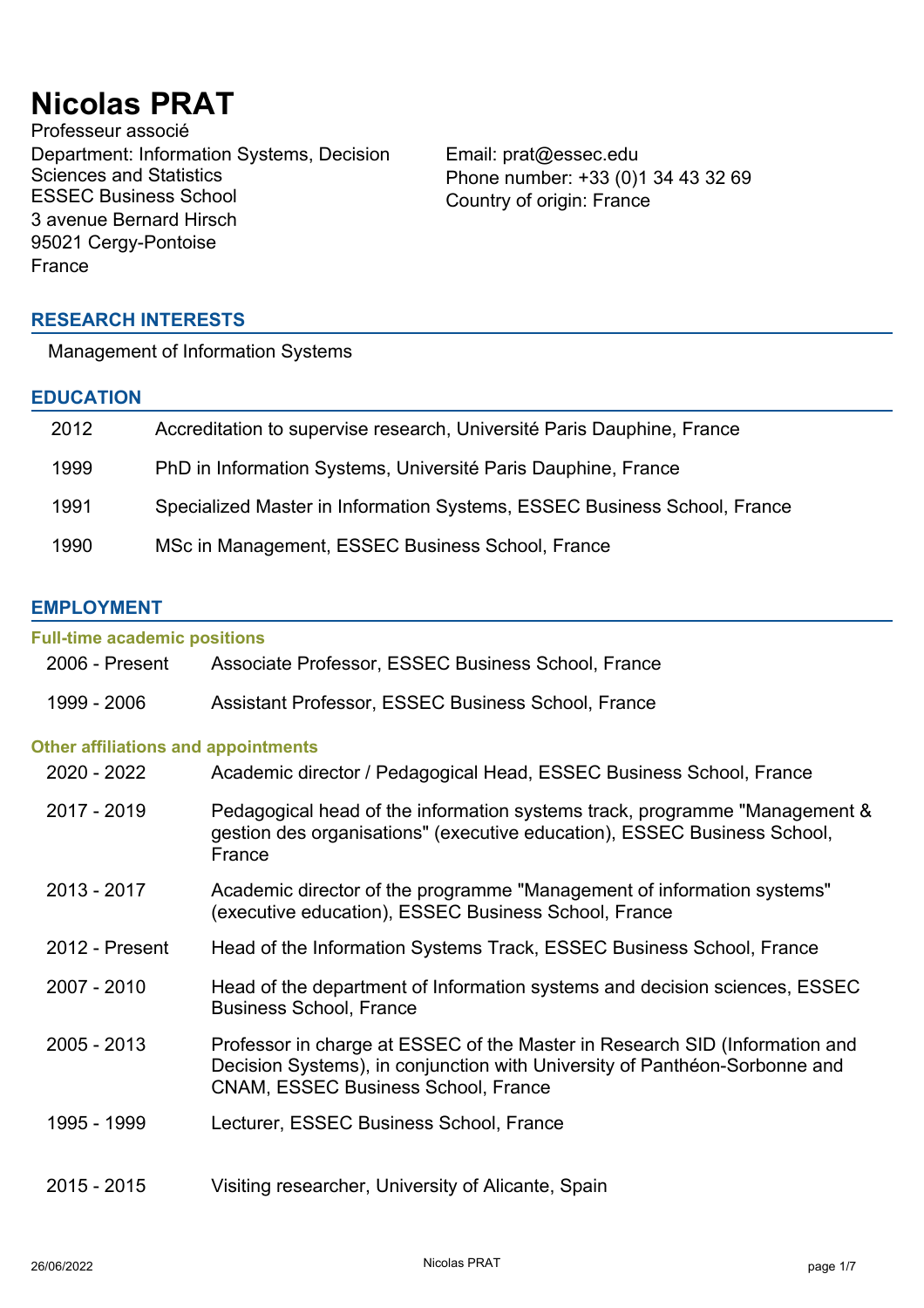# **Nicolas PRAT**

Professeur associé Department: Information Systems, Decision Sciences and Statistics<br>ESSEC Business School 3 avenue Bernard Hirsch 95021 Cergy-Pontoise France

Email: prat@essec.edu Phone number: +33 (0)1 34 43 32 69 Country of origin: France

# **RESEARCH INTERESTS**

Management of Information Systems

# **EDUCATION**

| 2012 | Accreditation to supervise research, Université Paris Dauphine, France   |
|------|--------------------------------------------------------------------------|
| 1999 | PhD in Information Systems, Université Paris Dauphine, France            |
| 1991 | Specialized Master in Information Systems, ESSEC Business School, France |
| 1990 | MSc in Management, ESSEC Business School, France                         |

# **EMPLOYMENT**

| <b>Full-time academic positions</b>                                                                                                                                                                     |
|---------------------------------------------------------------------------------------------------------------------------------------------------------------------------------------------------------|
| Associate Professor, ESSEC Business School, France                                                                                                                                                      |
| Assistant Professor, ESSEC Business School, France                                                                                                                                                      |
| <b>Other affiliations and appointments</b>                                                                                                                                                              |
| Academic director / Pedagogical Head, ESSEC Business School, France                                                                                                                                     |
| Pedagogical head of the information systems track, programme "Management &<br>gestion des organisations" (executive education), ESSEC Business School,<br>France                                        |
| Academic director of the programme "Management of information systems"<br>(executive education), ESSEC Business School, France                                                                          |
| Head of the Information Systems Track, ESSEC Business School, France                                                                                                                                    |
| Head of the department of Information systems and decision sciences, ESSEC<br><b>Business School, France</b>                                                                                            |
| Professor in charge at ESSEC of the Master in Research SID (Information and<br>Decision Systems), in conjunction with University of Panthéon-Sorbonne and<br><b>CNAM, ESSEC Business School, France</b> |
| Lecturer, ESSEC Business School, France                                                                                                                                                                 |
| Visiting researcher, University of Alicante, Spain                                                                                                                                                      |
|                                                                                                                                                                                                         |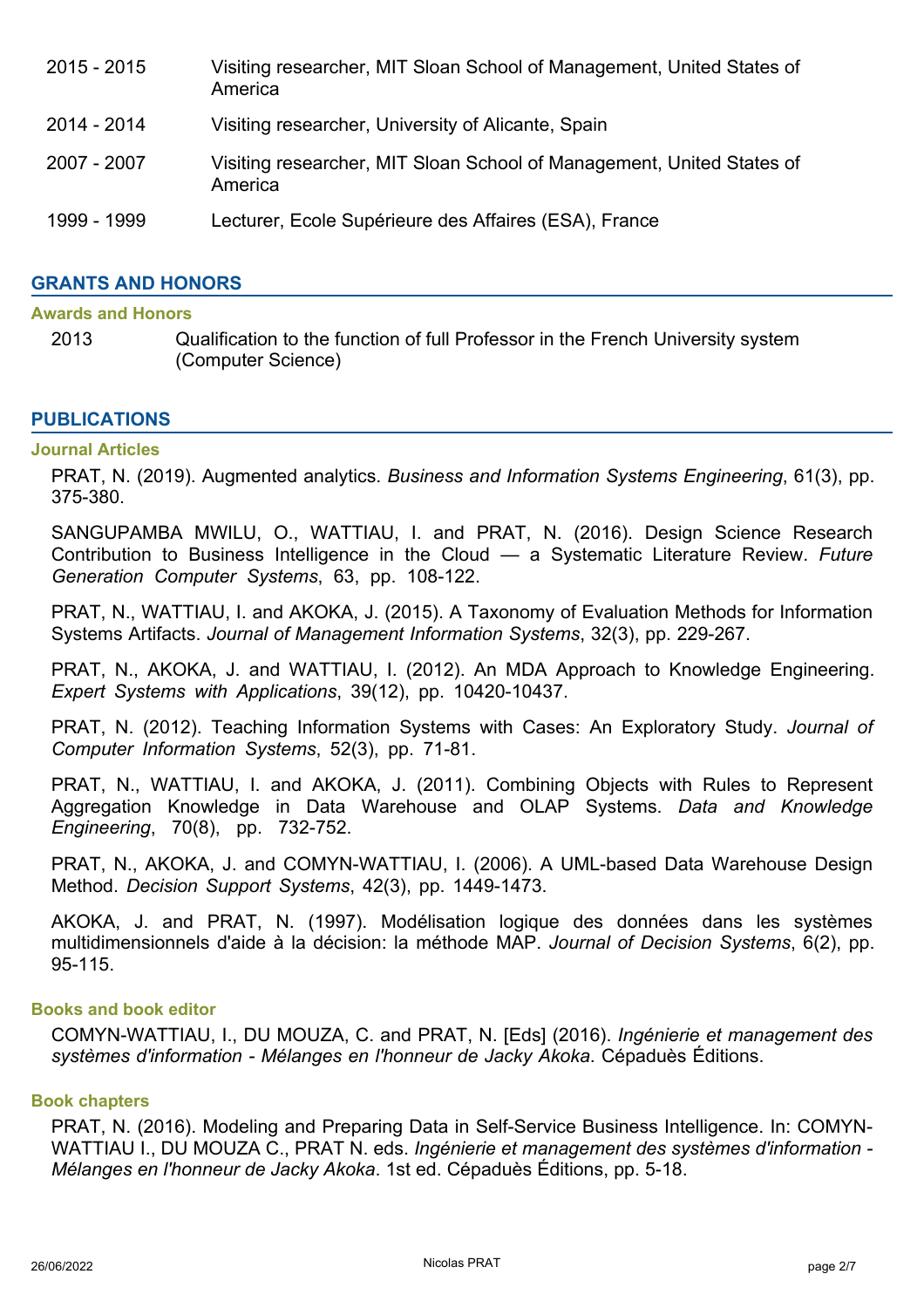- 2015 2015 Visiting researcher, MIT Sloan School of Management, United States of America 2014 - 2014 Visiting researcher, University of Alicante, Spain 2007 - 2007 Visiting researcher, MIT Sloan School of Management, United States of America
- 1999 1999 Lecturer, Ecole Supérieure des Affaires (ESA), France

# **GRANTS AND HONORS**

## **Awards and Honors**

2013 Qualification to the function of full Professor in the French University system (Computer Science)

## **PUBLICATIONS**

#### **Journal Articles**

PRAT, N. (2019). Augmented analytics. *Business and Information Systems Engineering*, 61(3), pp. 375-380.

SANGUPAMBA MWILU, O., WATTIAU, I. and PRAT, N. (2016). Design Science Research Contribution to Business Intelligence in the Cloud — a Systematic Literature Review. *Future Generation Computer Systems*, 63, pp. 108-122.

PRAT, N., WATTIAU, I. and AKOKA, J. (2015). A Taxonomy of Evaluation Methods for Information Systems Artifacts. *Journal of Management Information Systems*, 32(3), pp. 229-267.

PRAT, N., AKOKA, J. and WATTIAU, I. (2012). An MDA Approach to Knowledge Engineering. *Expert Systems with Applications*, 39(12), pp. 10420-10437.

PRAT, N. (2012). Teaching Information Systems with Cases: An Exploratory Study. *Journal of Computer Information Systems*, 52(3), pp. 71-81.

PRAT, N., WATTIAU, I. and AKOKA, J. (2011). Combining Objects with Rules to Represent Aggregation Knowledge in Data Warehouse and OLAP Systems. *Data and Knowledge Engineering*, 70(8), pp. 732-752.

PRAT, N., AKOKA, J. and COMYN-WATTIAU, I. (2006). A UML-based Data Warehouse Design Method. *Decision Support Systems*, 42(3), pp. 1449-1473.

AKOKA, J. and PRAT, N. (1997). Modélisation logique des données dans les systèmes multidimensionnels d'aide à la décision: la méthode MAP. *Journal of Decision Systems*, 6(2), pp. 95-115.

## **Books and book editor**

COMYN-WATTIAU, I., DU MOUZA, C. and PRAT, N. [Eds] (2016). *Ingénierie et management des systèmes d'information - Mélanges en l'honneur de Jacky Akoka*. Cépaduès Éditions.

# **Book chapters**

PRAT, N. (2016). Modeling and Preparing Data in Self-Service Business Intelligence. In: COMYN-WATTIAU I., DU MOUZA C., PRAT N. eds. *Ingénierie et management des systèmes d'information - Mélanges en l'honneur de Jacky Akoka*. 1st ed. Cépaduès Éditions, pp. 5-18.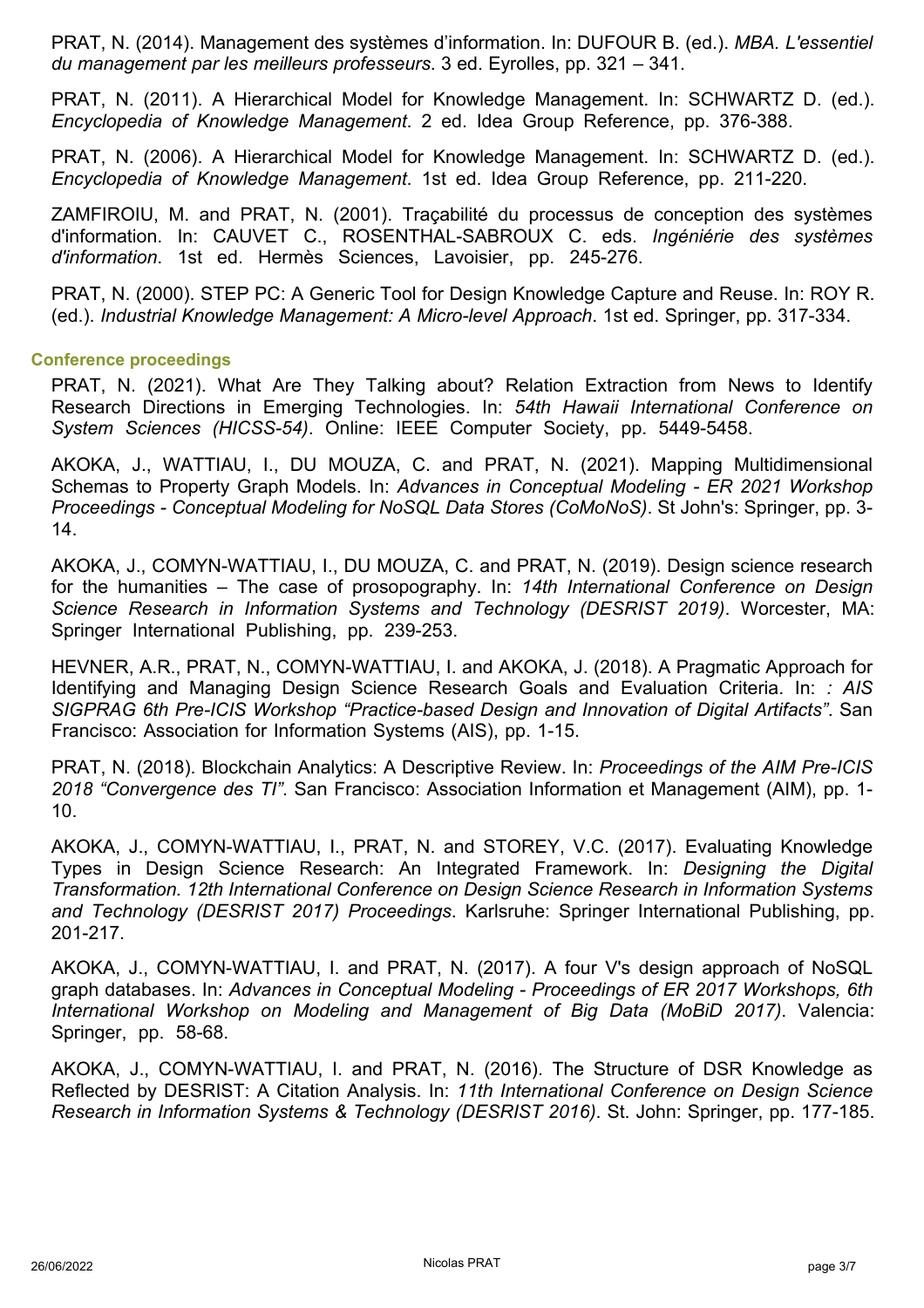PRAT, N. (2014). Management des systèmes d'information. In: DUFOUR B. (ed.). *MBA. L'essentiel du management par les meilleurs professeurs*. 3 ed. Eyrolles, pp. 321 – 341.

PRAT, N. (2011). A Hierarchical Model for Knowledge Management. In: SCHWARTZ D. (ed.). *Encyclopedia of Knowledge Management*. 2 ed. Idea Group Reference, pp. 376-388.

PRAT, N. (2006). A Hierarchical Model for Knowledge Management. In: SCHWARTZ D. (ed.). *Encyclopedia of Knowledge Management*. 1st ed. Idea Group Reference, pp. 211-220.

ZAMFIROIU, M. and PRAT, N. (2001). Traçabilité du processus de conception des systèmes d'information. In: CAUVET C., ROSENTHAL-SABROUX C. eds. *Ingéniérie des systèmes d'information*. 1st ed. Hermès Sciences, Lavoisier, pp. 245-276.

PRAT, N. (2000). STEP PC: A Generic Tool for Design Knowledge Capture and Reuse. In: ROY R. (ed.). *Industrial Knowledge Management: A Micro-level Approach*. 1st ed. Springer, pp. 317-334.

#### **Conference proceedings**

PRAT, N. (2021). What Are They Talking about? Relation Extraction from News to Identify Research Directions in Emerging Technologies. In: *54th Hawaii International Conference on System Sciences (HICSS-54)*. Online: IEEE Computer Society, pp. 5449-5458.

AKOKA, J., WATTIAU, I., DU MOUZA, C. and PRAT, N. (2021). Mapping Multidimensional Schemas to Property Graph Models. In: *Advances in Conceptual Modeling - ER 2021 Workshop Proceedings - Conceptual Modeling for NoSQL Data Stores (CoMoNoS)*. St John's: Springer, pp. 3- 14.

AKOKA, J., COMYN-WATTIAU, I., DU MOUZA, C. and PRAT, N. (2019). Design science research for the humanities – The case of prosopography. In: *14th International Conference on Design Science Research in Information Systems and Technology (DESRIST 2019)*. Worcester, MA: Springer International Publishing, pp. 239-253.

HEVNER, A.R., PRAT, N., COMYN-WATTIAU, I. and AKOKA, J. (2018). A Pragmatic Approach for Identifying and Managing Design Science Research Goals and Evaluation Criteria. In: *: AIS SIGPRAG 6th Pre-ICIS Workshop "Practice-based Design and Innovation of Digital Artifacts"*. San Francisco: Association for Information Systems (AIS), pp. 1-15.

PRAT, N. (2018). Blockchain Analytics: A Descriptive Review. In: *Proceedings of the AIM Pre-ICIS 2018 "Convergence des TI"*. San Francisco: Association Information et Management (AIM), pp. 1- 10.

AKOKA, J., COMYN-WATTIAU, I., PRAT, N. and STOREY, V.C. (2017). Evaluating Knowledge Types in Design Science Research: An Integrated Framework. In: *Designing the Digital Transformation. 12th International Conference on Design Science Research in Information Systems and Technology (DESRIST 2017) Proceedings*. Karlsruhe: Springer International Publishing, pp. 201-217.

AKOKA, J., COMYN-WATTIAU, I. and PRAT, N. (2017). A four V's design approach of NoSQL graph databases. In: *Advances in Conceptual Modeling - Proceedings of ER 2017 Workshops, 6th International Workshop on Modeling and Management of Big Data (MoBiD 2017)*. Valencia: Springer, pp. 58-68.

AKOKA, J., COMYN-WATTIAU, I. and PRAT, N. (2016). The Structure of DSR Knowledge as Reflected by DESRIST: A Citation Analysis. In: *11th International Conference on Design Science Research in Information Systems & Technology (DESRIST 2016)*. St. John: Springer, pp. 177-185.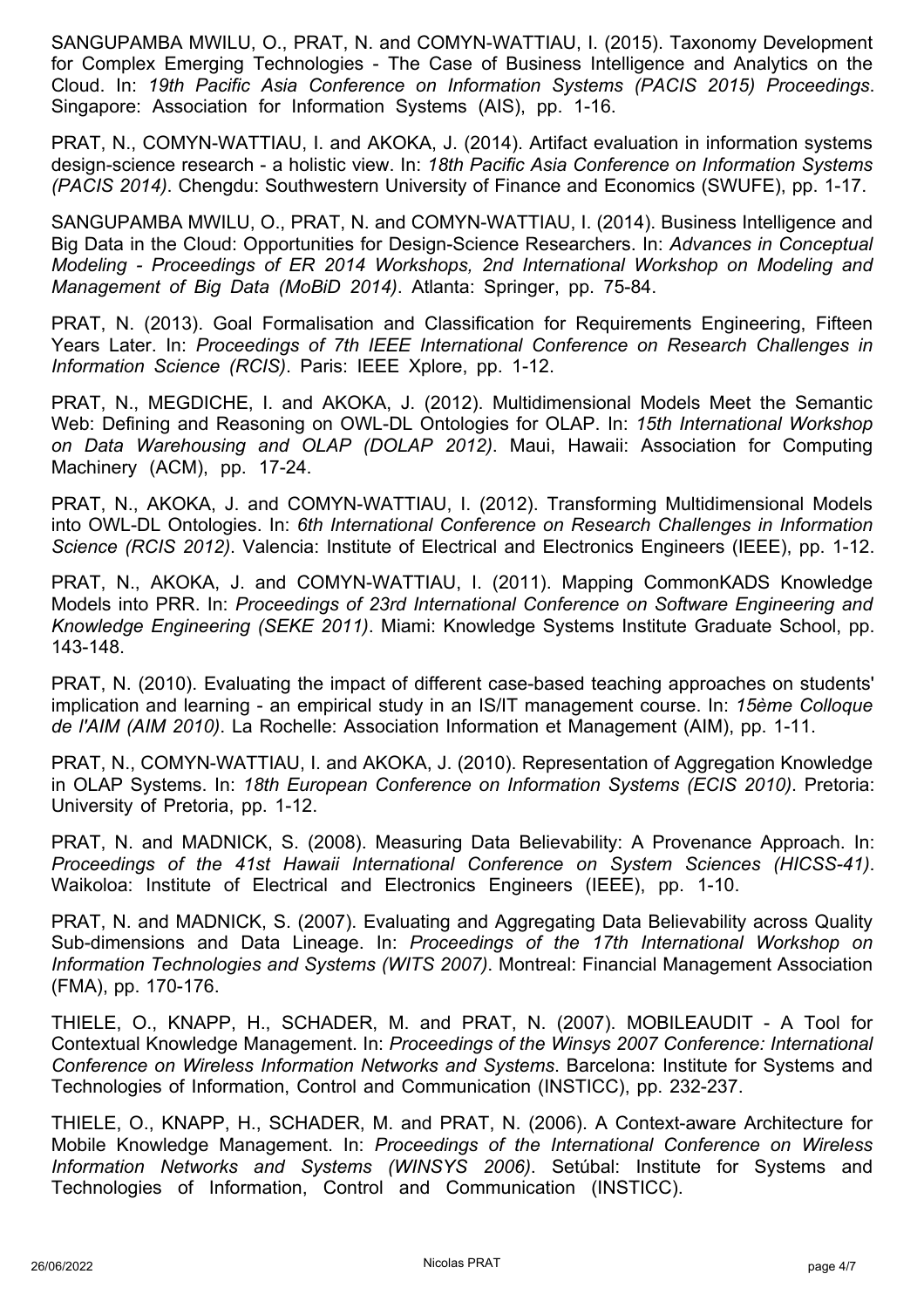SANGUPAMBA MWILU, O., PRAT, N. and COMYN-WATTIAU, I. (2015). Taxonomy Development for Complex Emerging Technologies - The Case of Business Intelligence and Analytics on the Cloud. In: *19th Pacific Asia Conference on Information Systems (PACIS 2015) Proceedings*. Singapore: Association for Information Systems (AIS), pp. 1-16.

PRAT, N., COMYN-WATTIAU, I. and AKOKA, J. (2014). Artifact evaluation in information systems design-science research - a holistic view. In: *18th Pacific Asia Conference on Information Systems (PACIS 2014)*. Chengdu: Southwestern University of Finance and Economics (SWUFE), pp. 1-17.

SANGUPAMBA MWILU, O., PRAT, N. and COMYN-WATTIAU, I. (2014). Business Intelligence and Big Data in the Cloud: Opportunities for Design-Science Researchers. In: *Advances in Conceptual Modeling - Proceedings of ER 2014 Workshops, 2nd International Workshop on Modeling and Management of Big Data (MoBiD 2014)*. Atlanta: Springer, pp. 75-84.

PRAT, N. (2013). Goal Formalisation and Classification for Requirements Engineering, Fifteen Years Later. In: *Proceedings of 7th IEEE International Conference on Research Challenges in Information Science (RCIS)*. Paris: IEEE Xplore, pp. 1-12.

PRAT, N., MEGDICHE, I. and AKOKA, J. (2012). Multidimensional Models Meet the Semantic Web: Defining and Reasoning on OWL-DL Ontologies for OLAP. In: *15th International Workshop on Data Warehousing and OLAP (DOLAP 2012)*. Maui, Hawaii: Association for Computing Machinery (ACM), pp. 17-24.

PRAT, N., AKOKA, J. and COMYN-WATTIAU, I. (2012). Transforming Multidimensional Models into OWL-DL Ontologies. In: *6th International Conference on Research Challenges in Information Science (RCIS 2012)*. Valencia: Institute of Electrical and Electronics Engineers (IEEE), pp. 1-12.

PRAT, N., AKOKA, J. and COMYN-WATTIAU, I. (2011). Mapping CommonKADS Knowledge Models into PRR. In: *Proceedings of 23rd International Conference on Software Engineering and Knowledge Engineering (SEKE 2011)*. Miami: Knowledge Systems Institute Graduate School, pp. 143-148.

PRAT, N. (2010). Evaluating the impact of different case-based teaching approaches on students' implication and learning - an empirical study in an IS/IT management course. In: *15ème Colloque de l'AIM (AIM 2010)*. La Rochelle: Association Information et Management (AIM), pp. 1-11.

PRAT, N., COMYN-WATTIAU, I. and AKOKA, J. (2010). Representation of Aggregation Knowledge in OLAP Systems. In: *18th European Conference on Information Systems (ECIS 2010)*. Pretoria: University of Pretoria, pp. 1-12.

PRAT, N. and MADNICK, S. (2008). Measuring Data Believability: A Provenance Approach. In: *Proceedings of the 41st Hawaii International Conference on System Sciences (HICSS-41)*. Waikoloa: Institute of Electrical and Electronics Engineers (IEEE), pp. 1-10.

PRAT, N. and MADNICK, S. (2007). Evaluating and Aggregating Data Believability across Quality Sub-dimensions and Data Lineage. In: *Proceedings of the 17th International Workshop on Information Technologies and Systems (WITS 2007)*. Montreal: Financial Management Association (FMA), pp. 170-176.

THIELE, O., KNAPP, H., SCHADER, M. and PRAT, N. (2007). MOBILEAUDIT - A Tool for Contextual Knowledge Management. In: *Proceedings of the Winsys 2007 Conference: International Conference on Wireless Information Networks and Systems*. Barcelona: Institute for Systems and Technologies of Information, Control and Communication (INSTICC), pp. 232-237.

THIELE, O., KNAPP, H., SCHADER, M. and PRAT, N. (2006). A Context-aware Architecture for Mobile Knowledge Management. In: *Proceedings of the International Conference on Wireless Information Networks and Systems (WINSYS 2006)*. Setúbal: Institute for Systems and Technologies of Information, Control and Communication (INSTICC).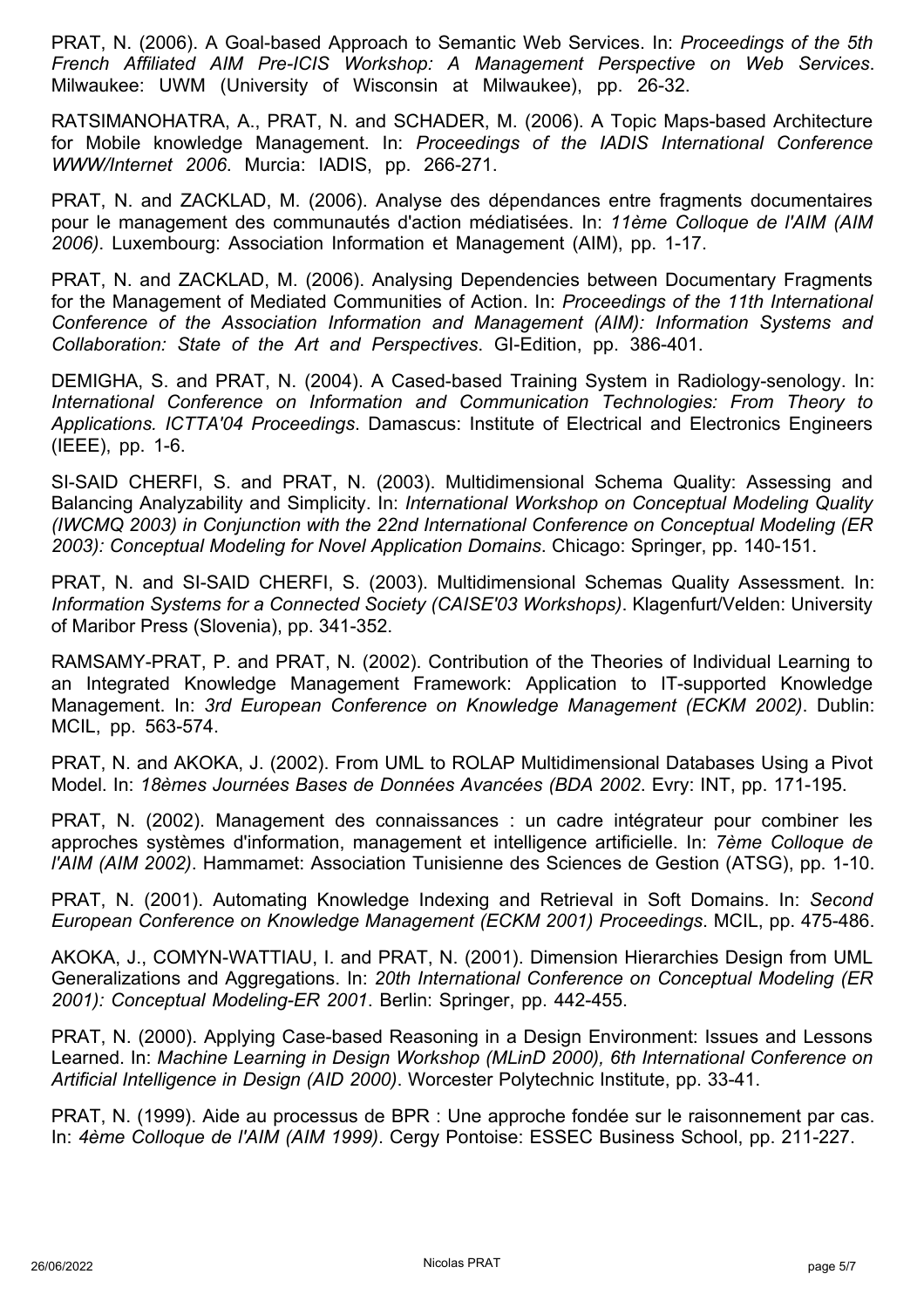PRAT, N. (2006). A Goal-based Approach to Semantic Web Services. In: *Proceedings of the 5th French Affiliated AIM Pre-ICIS Workshop: A Management Perspective on Web Services*. Milwaukee: UWM (University of Wisconsin at Milwaukee), pp. 26-32.

RATSIMANOHATRA, A., PRAT, N. and SCHADER, M. (2006). A Topic Maps-based Architecture for Mobile knowledge Management. In: *Proceedings of the IADIS International Conference WWW/Internet 2006*. Murcia: IADIS, pp. 266-271.

PRAT, N. and ZACKLAD, M. (2006). Analyse des dépendances entre fragments documentaires pour le management des communautés d'action médiatisées. In: *11ème Colloque de l'AIM (AIM 2006)*. Luxembourg: Association Information et Management (AIM), pp. 1-17.

PRAT, N. and ZACKLAD, M. (2006). Analysing Dependencies between Documentary Fragments for the Management of Mediated Communities of Action. In: *Proceedings of the 11th International Conference of the Association Information and Management (AIM): Information Systems and Collaboration: State of the Art and Perspectives*. GI-Edition, pp. 386-401.

DEMIGHA, S. and PRAT, N. (2004). A Cased-based Training System in Radiology-senology. In: *International Conference on Information and Communication Technologies: From Theory to Applications. ICTTA'04 Proceedings*. Damascus: Institute of Electrical and Electronics Engineers (IEEE), pp. 1-6.

SI-SAID CHERFI, S. and PRAT, N. (2003). Multidimensional Schema Quality: Assessing and Balancing Analyzability and Simplicity. In: *International Workshop on Conceptual Modeling Quality (IWCMQ 2003) in Conjunction with the 22nd International Conference on Conceptual Modeling (ER 2003): Conceptual Modeling for Novel Application Domains*. Chicago: Springer, pp. 140-151.

PRAT, N. and SI-SAID CHERFI, S. (2003). Multidimensional Schemas Quality Assessment. In: *Information Systems for a Connected Society (CAISE'03 Workshops)*. Klagenfurt/Velden: University of Maribor Press (Slovenia), pp. 341-352.

RAMSAMY-PRAT, P. and PRAT, N. (2002). Contribution of the Theories of Individual Learning to an Integrated Knowledge Management Framework: Application to IT-supported Knowledge Management. In: *3rd European Conference on Knowledge Management (ECKM 2002)*. Dublin: MCIL, pp. 563-574.

PRAT, N. and AKOKA, J. (2002). From UML to ROLAP Multidimensional Databases Using a Pivot Model. In: *18èmes Journées Bases de Données Avancées (BDA 2002*. Evry: INT, pp. 171-195.

PRAT, N. (2002). Management des connaissances : un cadre intégrateur pour combiner les approches systèmes d'information, management et intelligence artificielle. In: *7ème Colloque de l'AIM (AIM 2002)*. Hammamet: Association Tunisienne des Sciences de Gestion (ATSG), pp. 1-10.

PRAT, N. (2001). Automating Knowledge Indexing and Retrieval in Soft Domains. In: *Second European Conference on Knowledge Management (ECKM 2001) Proceedings*. MCIL, pp. 475-486.

AKOKA, J., COMYN-WATTIAU, I. and PRAT, N. (2001). Dimension Hierarchies Design from UML Generalizations and Aggregations. In: *20th International Conference on Conceptual Modeling (ER 2001): Conceptual Modeling-ER 2001*. Berlin: Springer, pp. 442-455.

PRAT, N. (2000). Applying Case-based Reasoning in a Design Environment: Issues and Lessons Learned. In: *Machine Learning in Design Workshop (MLinD 2000), 6th International Conference on Artificial Intelligence in Design (AID 2000)*. Worcester Polytechnic Institute, pp. 33-41.

PRAT, N. (1999). Aide au processus de BPR : Une approche fondée sur le raisonnement par cas. In: *4ème Colloque de l'AIM (AIM 1999)*. Cergy Pontoise: ESSEC Business School, pp. 211-227.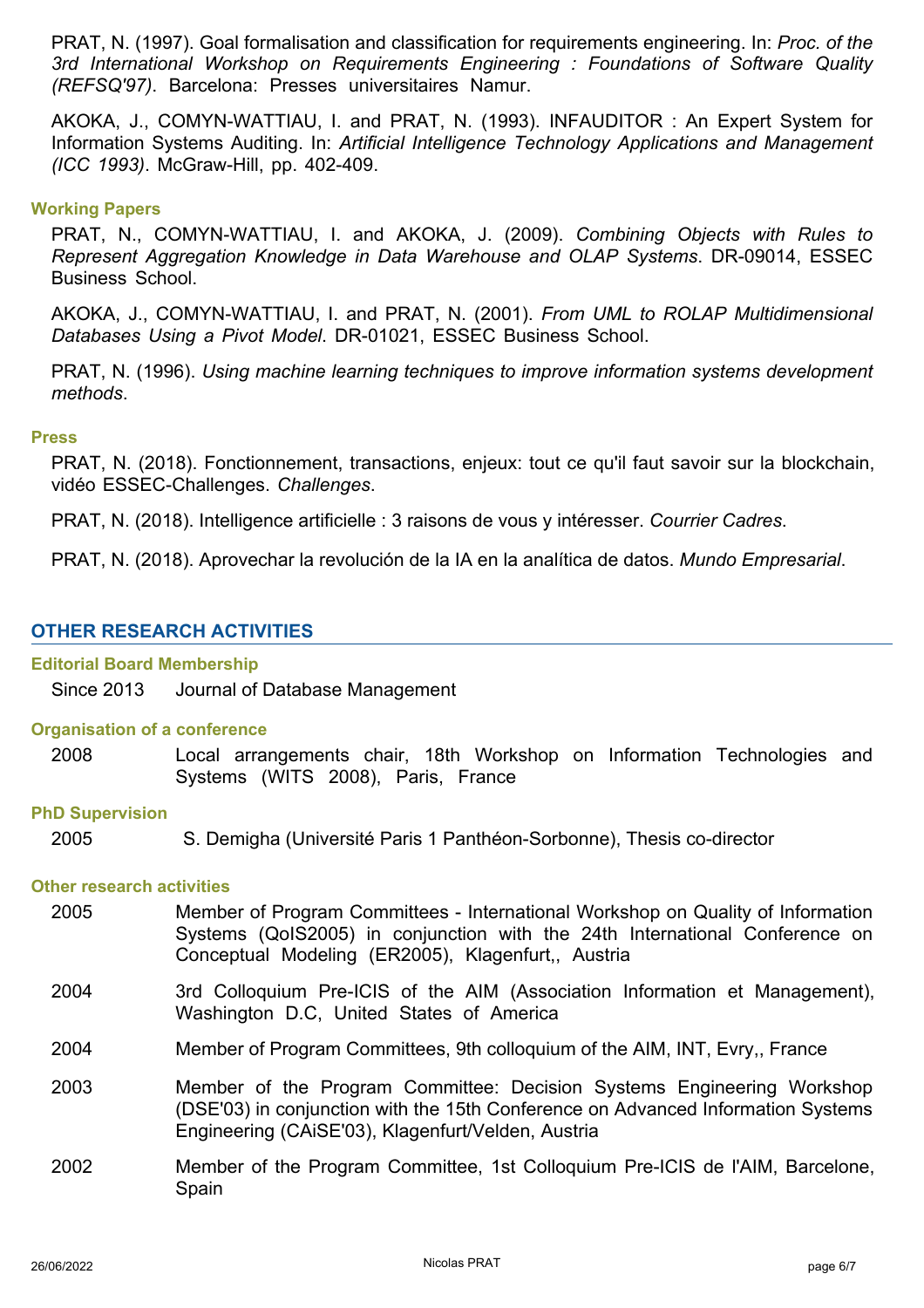PRAT, N. (1997). Goal formalisation and classification for requirements engineering. In: *Proc. of the 3rd International Workshop on Requirements Engineering : Foundations of Software Quality (REFSQ'97)*. Barcelona: Presses universitaires Namur.

AKOKA, J., COMYN-WATTIAU, I. and PRAT, N. (1993). INFAUDITOR : An Expert System for Information Systems Auditing. In: *Artificial Intelligence Technology Applications and Management (ICC 1993)*. McGraw-Hill, pp. 402-409.

# **Working Papers**

PRAT, N., COMYN-WATTIAU, I. and AKOKA, J. (2009). *Combining Objects with Rules to Represent Aggregation Knowledge in Data Warehouse and OLAP Systems*. DR-09014, ESSEC Business School.

AKOKA, J., COMYN-WATTIAU, I. and PRAT, N. (2001). *From UML to ROLAP Multidimensional Databases Using a Pivot Model*. DR-01021, ESSEC Business School.

PRAT, N. (1996). *Using machine learning techniques to improve information systems development methods*.

## **Press**

PRAT, N. (2018). Fonctionnement, transactions, enjeux: tout ce qu'il faut savoir sur la blockchain, vidéo ESSEC-Challenges. *Challenges*.

PRAT, N. (2018). Intelligence artificielle : 3 raisons de vous y intéresser. *Courrier Cadres*.

PRAT, N. (2018). Aprovechar la revolución de la IA en la analítica de datos. *Mundo Empresarial*.

# **OTHER RESEARCH ACTIVITIES**

#### **Editorial Board Membership**

Since 2013 Journal of Database Management

#### **Organisation of a conference**

2008 Local arrangements chair, 18th Workshop on Information Technologies and Systems (WITS 2008), Paris, France

#### **PhD Supervision**

2005 S. Demigha (Université Paris 1 Panthéon-Sorbonne), Thesis co-director

#### **Other research activities**

- Member of Program Committees International Workshop on Quality of Information Systems (QoIS2005) in conjunction with the 24th International Conference on Conceptual Modeling (ER2005), Klagenfurt,, Austria 2005
- 3rd Colloquium Pre-ICIS of the AIM (Association Information et Management), Washington D.C, United States of America 2004
- 2004 Member of Program Committees, 9th colloquium of the AIM, INT, Evry,, France
- Member of the Program Committee: Decision Systems Engineering Workshop (DSE'03) in conjunction with the 15th Conference on Advanced Information Systems Engineering (CAiSE'03), Klagenfurt/Velden, Austria 2003
- Member of the Program Committee, 1st Colloquium Pre-ICIS de l'AIM, Barcelone, Spain 2002